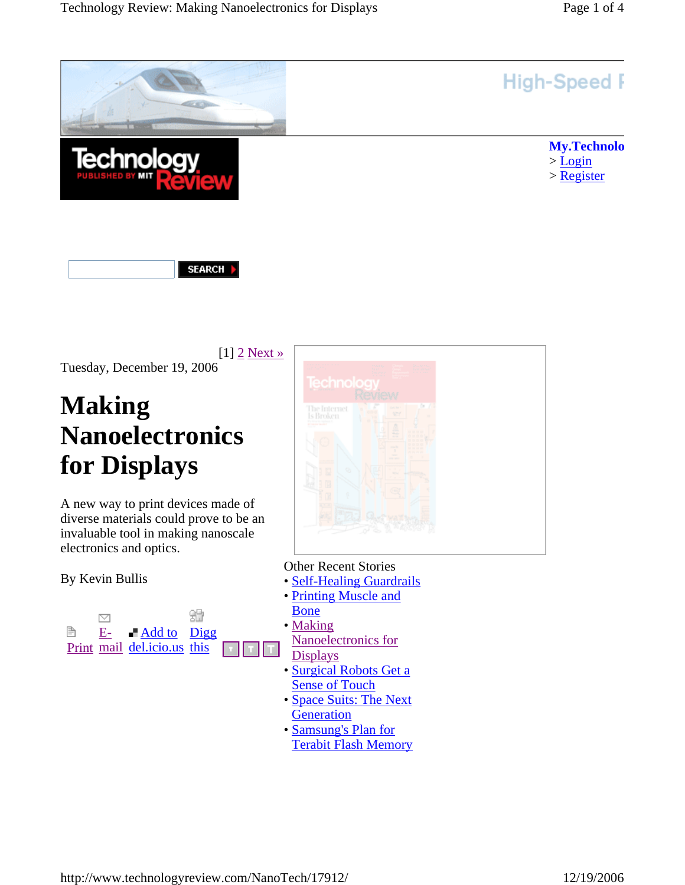

**SEARCH** 

 $[1]$  2 Next » Tuesday, December 19, 2006

# **Making Nanoelectronics for Displays**

A new way to print devices made of diverse materials could prove to be an invaluable tool in making nanoscale electronics and optics.

By Kevin Bullis





Other Recent Stories

- Self-Healing Guardrails
- Printing Muscle and Bone
- Making
	- Nanoelectronics for **Displays**
- Surgical Robots Get a **Sense of Touch**
- Space Suits: The Next **Generation**
- Samsung's Plan for
- Terabit Flash Memory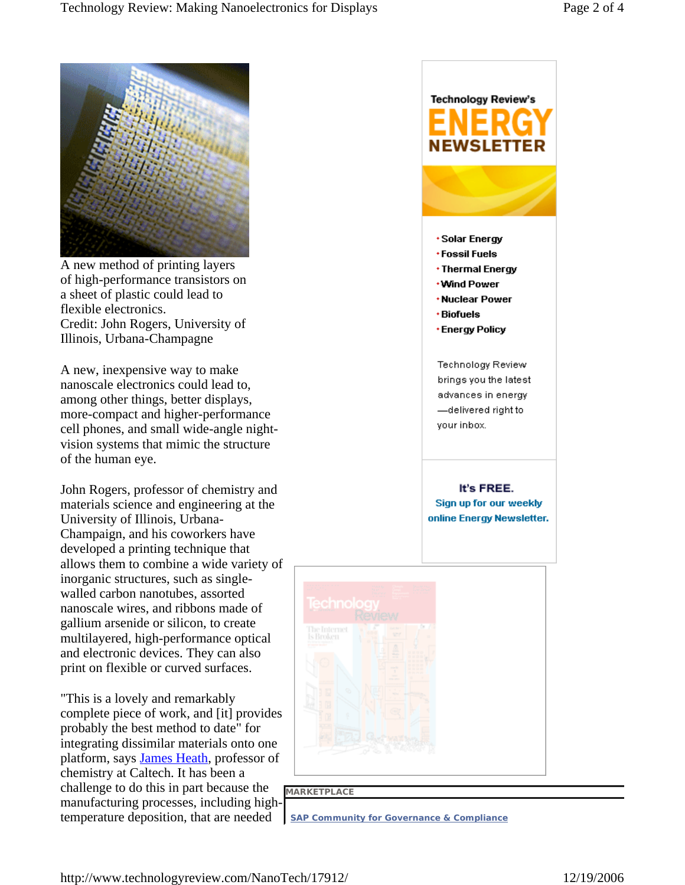

A new method of printing layers of high-performance transistors on a sheet of plastic could lead to flexible electronics. Credit: John Rogers, University of Illinois, Urbana-Champagne

A new, inexpensive way to make nanoscale electronics could lead to, among other things, better displays, more-compact and higher-performance cell phones, and small wide-angle nightvision systems that mimic the structure of the human eye.

John Rogers, professor of chemistry and materials science and engineering at the University of Illinois, Urbana-Champaign, and his coworkers have developed a printing technique that allows them to combine a wide variety of inorganic structures, such as singlewalled carbon nanotubes, assorted nanoscale wires, and ribbons made of gallium arsenide or silicon, to create multilayered, high-performance optical and electronic devices. They can also print on flexible or curved surfaces.

"This is a lovely and remarkably complete piece of work, and [it] provides probably the best method to date" for integrating dissimilar materials onto one platform, says James Heath, professor of chemistry at Caltech. It has been a challenge to do this in part because the manufacturing processes, including hightemperature deposition, that are needed

## **Technology Review's EWSLETTER** \* Solar Energy **\*Fossil Fuels** • Thermal Energy **Wind Power** \*Nuclear Power **· Biofuels** \*Energy Policy Technology Review brings you the latest advances in energy -delivered right to your inbox. It's FREE. Sign up for our weekly online Energy Newsletter.



#### **MARKETPLACE**

**SAP Community for Governance & Compliance**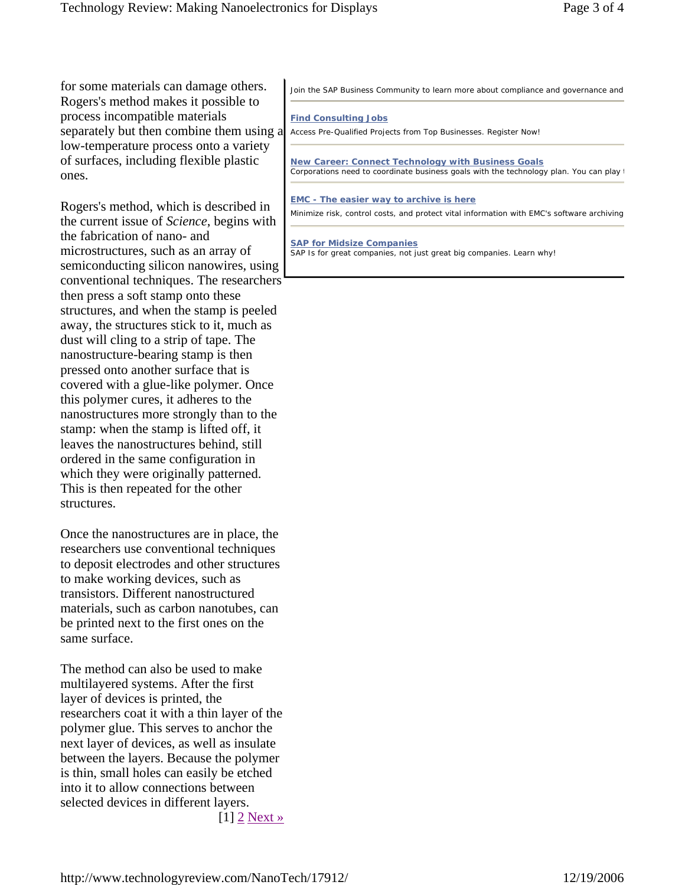for some materials can damage others. Rogers's method makes it possible to process incompatible materials separately but then combine them using a low-temperature process onto a variety of surfaces, including flexible plastic ones.

Rogers's method, which is described in the current issue of *Science*, begins with the fabrication of nano- and microstructures, such as an array of semiconducting silicon nanowires, using conventional techniques. The researchers then press a soft stamp onto these structures, and when the stamp is peeled away, the structures stick to it, much as dust will cling to a strip of tape. The nanostructure-bearing stamp is then pressed onto another surface that is covered with a glue-like polymer. Once this polymer cures, it adheres to the nanostructures more strongly than to the stamp: when the stamp is lifted off, it leaves the nanostructures behind, still ordered in the same configuration in which they were originally patterned. This is then repeated for the other structures.

Once the nanostructures are in place, the researchers use conventional techniques to deposit electrodes and other structures to make working devices, such as transistors. Different nanostructured materials, such as carbon nanotubes, can be printed next to the first ones on the same surface.

The method can also be used to make multilayered systems. After the first layer of devices is printed, the researchers coat it with a thin layer of the polymer glue. This serves to anchor the next layer of devices, as well as insulate between the layers. Because the polymer is thin, small holes can easily be etched into it to allow connections between selected devices in different layers. [1] 2 Next »

Join the SAP Business Community to learn more about compliance and governance and

#### **Find Consulting Jobs**

Access Pre-Qualified Projects from Top Businesses. Register Now!

**New Career: Connect Technology with Business Goals** Corporations need to coordinate business goals with the technology plan. You can play t

#### **EMC - The easier way to archive is here**

Minimize risk, control costs, and protect vital information with EMC's software archiving

**SAP for Midsize Companies** SAP Is for great companies, not just great big companies. Learn why!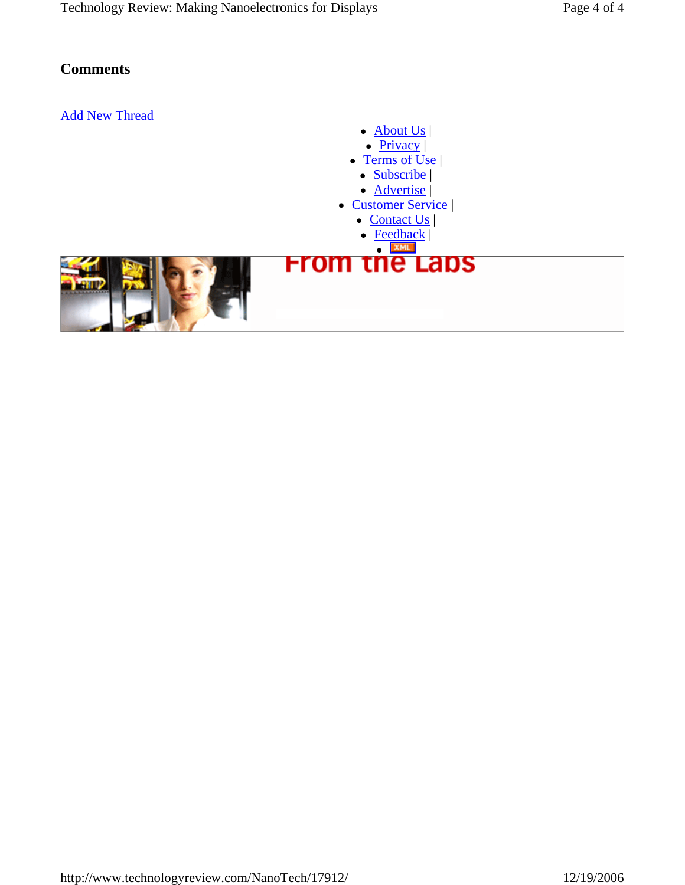## **Comments**

## Add New Thread

- $\bullet$  About Us
- $\bullet$  Privacy |
- $\bullet$  Terms of Use • Subscribe |
	- Advertise
- Customer Service |
	- $\bullet$  Contact Us |
	- $\bullet$  Feedback |
- **From the Laps**

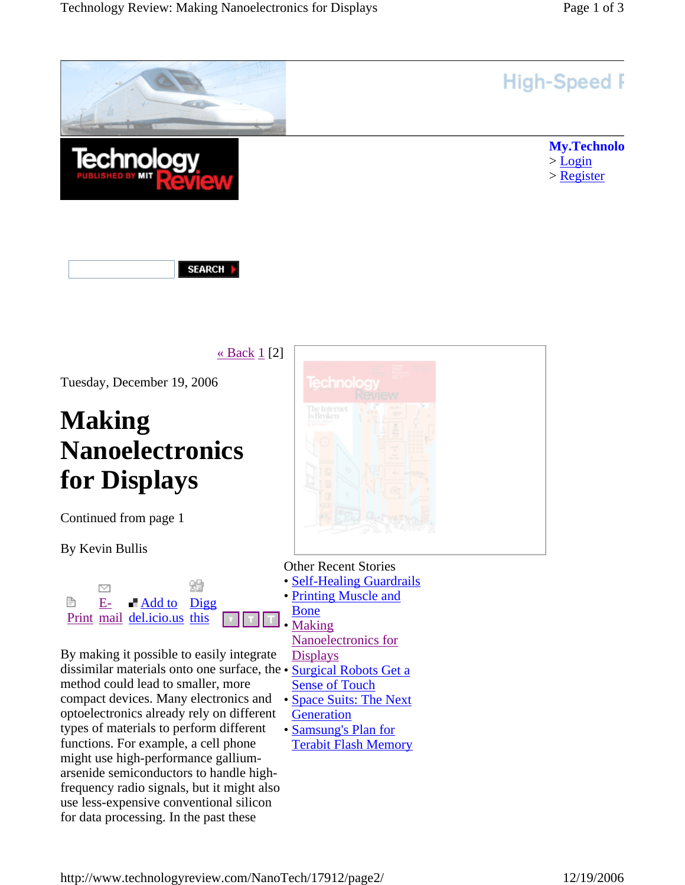

SEARCH |

« Back  $1$  [2]

Tuesday, December 19, 2006

# **Making Nanoelectronics for Displays**

Continued from page 1

By Kevin Bullis



By making it possible to easily integrate dissimilar materials onto one surface, the • Surgical Robots Get a method could lead to smaller, more compact devices. Many electronics and • Space Suits: The Next optoelectronics already rely on different types of materials to perform different functions. For example, a cell phone might use high-performance galliumarsenide semiconductors to handle highfrequency radio signals, but it might also use less-expensive conventional silicon for data processing. In the past these



Other Recent Stories

- **Self-Healing Guardrails**
- Printing Muscle and

Bone • Making

Nanoelectronics for

- Displays
- Sense of Touch
- **Generation**
- Samsung's Plan for
- Terabit Flash Memory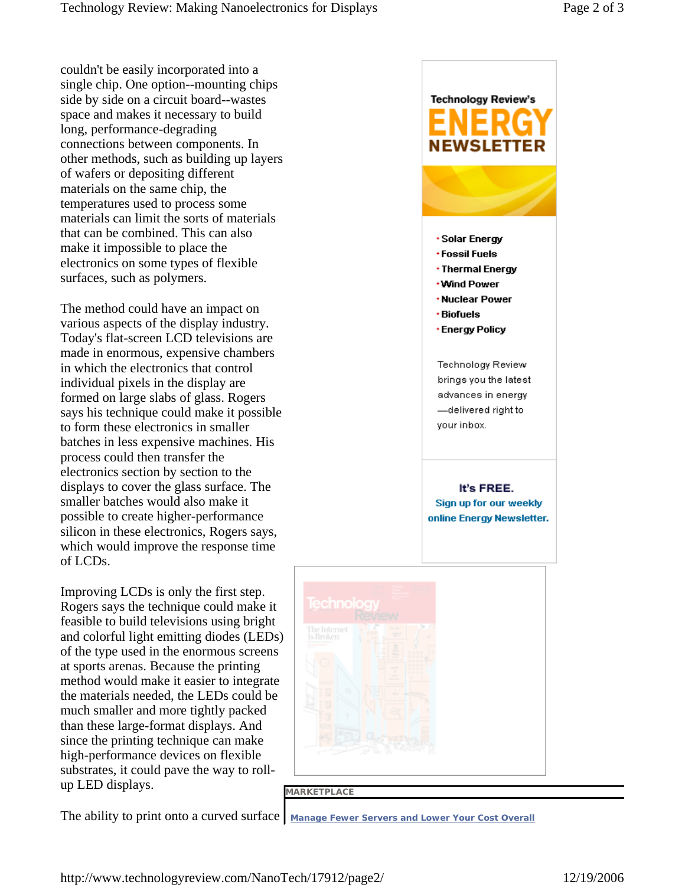couldn't be easily incorporated into a single chip. One option--mounting chips side by side on a circuit board--wastes space and makes it necessary to build long, performance-degrading connections between components. In other methods, such as building up layers of wafers or depositing different materials on the same chip, the temperatures used to process some materials can limit the sorts of materials that can be combined. This can also make it impossible to place the electronics on some types of flexible surfaces, such as polymers.

The method could have an impact on various aspects of the display industry. Today's flat-screen LCD televisions are made in enormous, expensive chambers in which the electronics that control individual pixels in the display are formed on large slabs of glass. Rogers says his technique could make it possible to form these electronics in smaller batches in less expensive machines. His process could then transfer the electronics section by section to the displays to cover the glass surface. The smaller batches would also make it possible to create higher-performance silicon in these electronics, Rogers says, which would improve the response time of LCDs.

Improving LCDs is only the first step. Rogers says the technique could make it feasible to build televisions using bright and colorful light emitting diodes (LEDs) of the type used in the enormous screens at sports arenas. Because the printing method would make it easier to integrate the materials needed, the LEDs could be much smaller and more tightly packed than these large-format displays. And since the printing technique can make high-performance devices on flexible substrates, it could pave the way to rollup LED displays.



#### **MARKETPLACE**

The ability to print onto a curved surface | Manage Fewer Servers and Lower Your Cost Overall